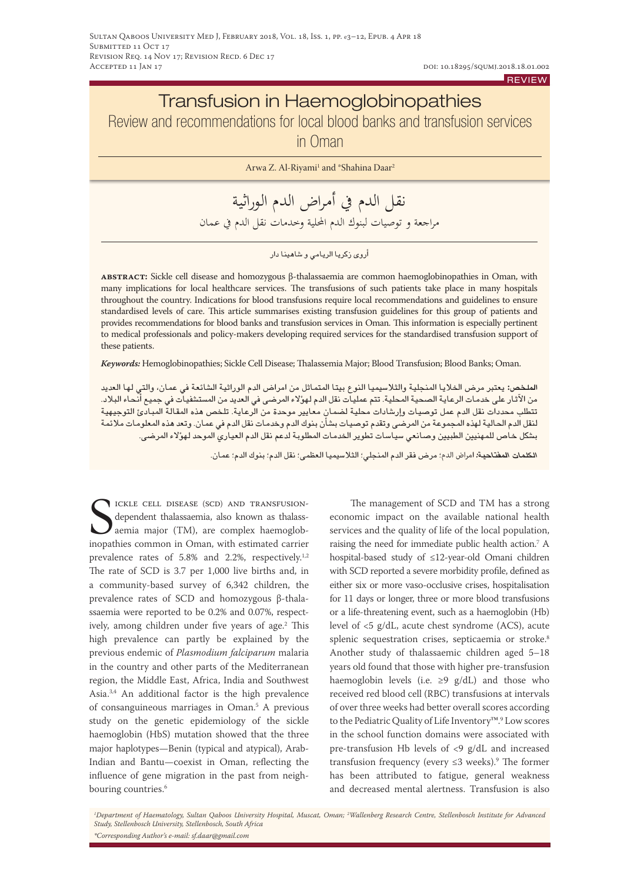# Transfusion in Haemoglobinopathies Review and recommendations for local blood banks and transfusion services in Oman

Arwa Z. Al-Riyami<sup>1</sup> and \*Shahina Daar<sup>2</sup>

نقل الدم يف أمراض الدم الوراثية مراجعة و توصيات لبنوك الدم احمللية وخدمات نقل الدم يف عمان

أروى زكريا الريامي و �شاهينا دار

**abstract:** Sickle cell disease and homozygous β-thalassaemia are common haemoglobinopathies in Oman, with many implications for local healthcare services. The transfusions of such patients take place in many hospitals throughout the country. Indications for blood transfusions require local recommendations and guidelines to ensure standardised levels of care. This article summarises existing transfusion guidelines for this group of patients and provides recommendations for blood banks and transfusion services in Oman. This information is especially pertinent to medical professionals and policy-makers developing required services for the standardised transfusion support of these patients.

*Keywords:* Hemoglobinopathies; Sickle Cell Disease; Thalassemia Major; Blood Transfusion; Blood Banks; Oman.

الملخص: يعتبر مرض الخلايا المنجلية والثلاسيميا النوع بيتا المتماثل من امراض الدم الوراثية الشائعة في عمان، والتي لها العدي*د* من الآثار على خدمات الرعاية الصحية المحلية. تتم عمليات نقل الدم لهوُلاء المرضى في العديد من المستشفيات في جميع أنحاء البلاد. تتطلب محددات نقل الدم عمل توصيات وإرشادات محلية لضمان معايير موحدة من الرعاية. تلخص هذه المقالة المبادئ التوجيهية لنقل الدم الحالية لهذه المجموعة من المرضى وتقدم توصيات بشأن بنوك الدم وخدمات نقل الدم في عمان. وتعد هذه المعلومات ملائمة بشكل خاص للمهنيين الطبيين وصانعي سياسات تطوير الخدمات المطلوبة لدعم نقل الدم العياري الموحد لهؤلاء المرضى.

*الكلمات املفتاحية:* امراض الدم؛ مر�ض فقر الدم املنجلي؛ الثال�سيميا العظمى؛ نقل الدم؛ بنوك الدم؛ عمان.

SICKLE CELL DISEASE (SCD) AND TRANSFUSION-<br>dependent thalassaemia, also known as thalass-<br>aemia major (TM), are complex haemoglob-<br>inopathies common in Oman, with estimated carrier ickle cell disease (scd) and transfusiondependent thalassaemia, also known as thalassaemia major (TM), are complex haemoglobprevalence rates of 5.8% and 2.2%, respectively.<sup>1,2</sup> The rate of SCD is 3.7 per 1,000 live births and, in a community-based survey of 6,342 children, the prevalence rates of SCD and homozygous β-thalassaemia were reported to be 0.2% and 0.07%, respectively, among children under five years of age.<sup>2</sup> This high prevalence can partly be explained by the previous endemic of *Plasmodium falciparum* malaria in the country and other parts of the Mediterranean region, the Middle East, Africa, India and Southwest Asia.3,4 An additional factor is the high prevalence of consanguineous marriages in Oman.<sup>5</sup> A previous study on the genetic epidemiology of the sickle haemoglobin (HbS) mutation showed that the three major haplotypes—Benin (typical and atypical), Arab-Indian and Bantu—coexist in Oman, reflecting the influence of gene migration in the past from neighbouring countries.<sup>6</sup>

The management of SCD and TM has a strong economic impact on the available national health services and the quality of life of the local population, raising the need for immediate public health action.7 A hospital-based study of ≤12-year-old Omani children with SCD reported a severe morbidity profile, defined as either six or more vaso-occlusive crises, hospitalisation for 11 days or longer, three or more blood transfusions or a life-threatening event, such as a haemoglobin (Hb) level of <5 g/dL, acute chest syndrome (ACS), acute splenic sequestration crises, septicaemia or stroke.<sup>8</sup> Another study of thalassaemic children aged 5–18 years old found that those with higher pre-transfusion haemoglobin levels (i.e. ≥9 g/dL) and those who received red blood cell (RBC) transfusions at intervals of over three weeks had better overall scores according to the Pediatric Quality of Life Inventory™. 9 Low scores in the school function domains were associated with pre-transfusion Hb levels of <9 g/dL and increased transfusion frequency (every ≤3 weeks).9 The former has been attributed to fatigue, general weakness and decreased mental alertness. Transfusion is also

*1 Department of Haematology, Sultan Qaboos University Hospital, Muscat, Oman; 2 Wallenberg Research Centre, Stellenbosch Institute for Advanced Study, Stellenbosch University, Stellenbosch, South Africa*

*\*Corresponding Author's e-mail: sf.daar@gmail.com*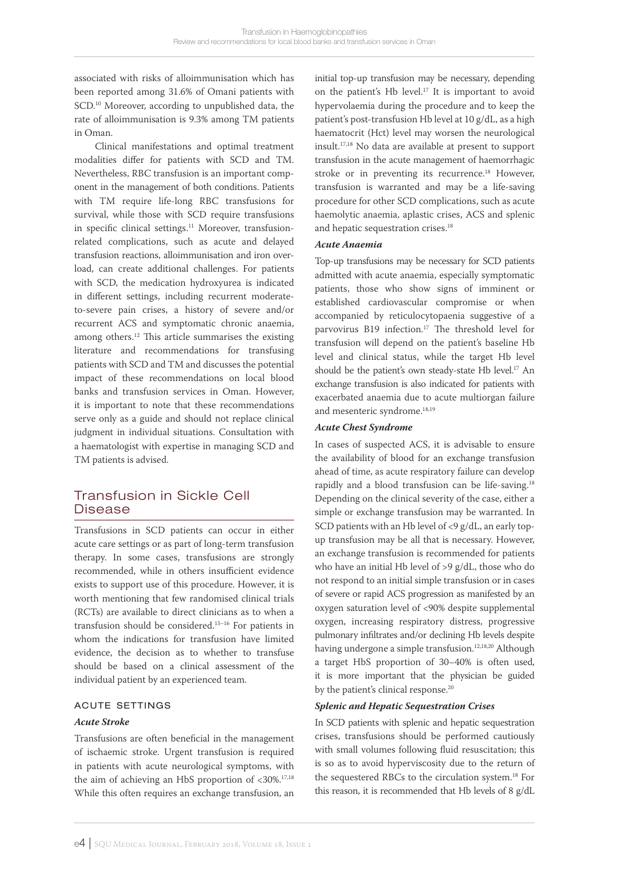associated with risks of alloimmunisation which has been reported among 31.6% of Omani patients with SCD.<sup>10</sup> Moreover, according to unpublished data, the rate of alloimmunisation is 9.3% among TM patients in Oman.

Clinical manifestations and optimal treatment modalities differ for patients with SCD and TM. Nevertheless, RBC transfusion is an important component in the management of both conditions. Patients with TM require life-long RBC transfusions for survival, while those with SCD require transfusions in specific clinical settings.<sup>11</sup> Moreover, transfusionrelated complications, such as acute and delayed transfusion reactions, alloimmunisation and iron overload, can create additional challenges. For patients with SCD, the medication hydroxyurea is indicated in different settings, including recurrent moderateto-severe pain crises, a history of severe and/or recurrent ACS and symptomatic chronic anaemia, among others.12 This article summarises the existing literature and recommendations for transfusing patients with SCD and TM and discusses the potential impact of these recommendations on local blood banks and transfusion services in Oman. However, it is important to note that these recommendations serve only as a guide and should not replace clinical judgment in individual situations. Consultation with a haematologist with expertise in managing SCD and TM patients is advised.

# Transfusion in Sickle Cell Disease

Transfusions in SCD patients can occur in either acute care settings or as part of long-term transfusion therapy. In some cases, transfusions are strongly recommended, while in others insufficient evidence exists to support use of this procedure. However, it is worth mentioning that few randomised clinical trials (RCTs) are available to direct clinicians as to when a transfusion should be considered.13–16 For patients in whom the indications for transfusion have limited evidence, the decision as to whether to transfuse should be based on a clinical assessment of the individual patient by an experienced team.

## acute settings

#### *Acute Stroke*

Transfusions are often beneficial in the management of ischaemic stroke. Urgent transfusion is required in patients with acute neurological symptoms, with the aim of achieving an HbS proportion of <30%.<sup>17,18</sup> While this often requires an exchange transfusion, an initial top-up transfusion may be necessary, depending on the patient's Hb level.17 It is important to avoid hypervolaemia during the procedure and to keep the patient's post-transfusion Hb level at 10 g/dL, as a high haematocrit (Hct) level may worsen the neurological insult.17,18 No data are available at present to support transfusion in the acute management of haemorrhagic stroke or in preventing its recurrence.18 However, transfusion is warranted and may be a life-saving procedure for other SCD complications, such as acute haemolytic anaemia, aplastic crises, ACS and splenic and hepatic sequestration crises.<sup>18</sup>

#### *Acute Anaemia*

Top-up transfusions may be necessary for SCD patients admitted with acute anaemia, especially symptomatic patients, those who show signs of imminent or established cardiovascular compromise or when accompanied by reticulocytopaenia suggestive of a parvovirus B19 infection.17 The threshold level for transfusion will depend on the patient's baseline Hb level and clinical status, while the target Hb level should be the patient's own steady-state Hb level.17 An exchange transfusion is also indicated for patients with exacerbated anaemia due to acute multiorgan failure and mesenteric syndrome.18,19

#### *Acute Chest Syndrome*

In cases of suspected ACS, it is advisable to ensure the availability of blood for an exchange transfusion ahead of time, as acute respiratory failure can develop rapidly and a blood transfusion can be life-saving.18 Depending on the clinical severity of the case, either a simple or exchange transfusion may be warranted. In SCD patients with an Hb level of <9 g/dL, an early topup transfusion may be all that is necessary. However, an exchange transfusion is recommended for patients who have an initial Hb level of >9 g/dL, those who do not respond to an initial simple transfusion or in cases of severe or rapid ACS progression as manifested by an oxygen saturation level of <90% despite supplemental oxygen, increasing respiratory distress, progressive pulmonary infiltrates and/or declining Hb levels despite having undergone a simple transfusion.<sup>12,18,20</sup> Although a target HbS proportion of 30–40% is often used, it is more important that the physician be guided by the patient's clinical response.<sup>20</sup>

### *Splenic and Hepatic Sequestration Crises*

In SCD patients with splenic and hepatic sequestration crises, transfusions should be performed cautiously with small volumes following fluid resuscitation; this is so as to avoid hyperviscosity due to the return of the sequestered RBCs to the circulation system.18 For this reason, it is recommended that Hb levels of 8 g/dL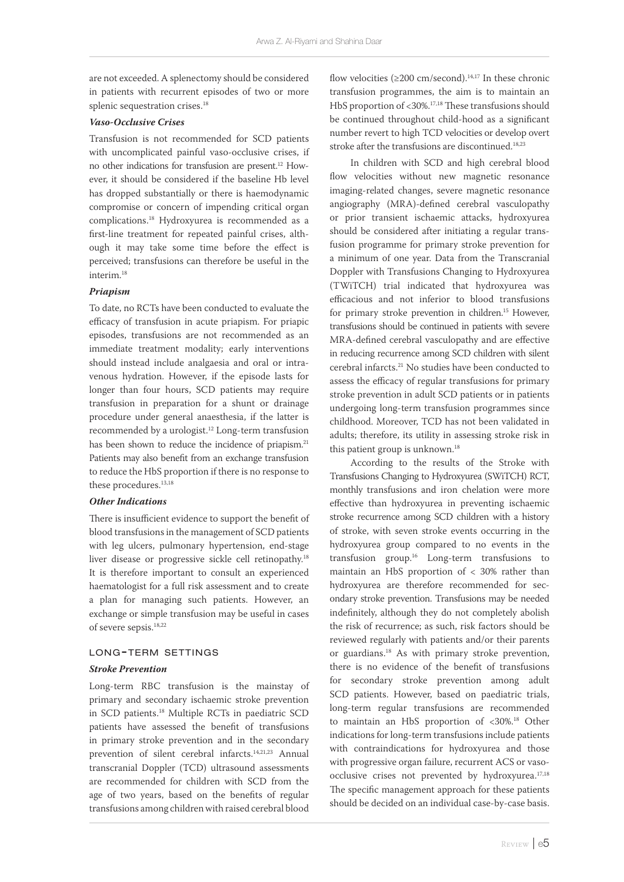are not exceeded. A splenectomy should be considered in patients with recurrent episodes of two or more splenic sequestration crises.<sup>18</sup>

### *Vaso-Occlusive Crises*

Transfusion is not recommended for SCD patients with uncomplicated painful vaso-occlusive crises, if no other indications for transfusion are present.<sup>12</sup> However, it should be considered if the baseline Hb level has dropped substantially or there is haemodynamic compromise or concern of impending critical organ complications.18 Hydroxyurea is recommended as a first-line treatment for repeated painful crises, although it may take some time before the effect is perceived; transfusions can therefore be useful in the interim.18

### *Priapism*

To date, no RCTs have been conducted to evaluate the efficacy of transfusion in acute priapism. For priapic episodes, transfusions are not recommended as an immediate treatment modality; early interventions should instead include analgaesia and oral or intravenous hydration. However, if the episode lasts for longer than four hours, SCD patients may require transfusion in preparation for a shunt or drainage procedure under general anaesthesia, if the latter is recommended by a urologist.<sup>12</sup> Long-term transfusion has been shown to reduce the incidence of priapism.<sup>21</sup> Patients may also benefit from an exchange transfusion to reduce the HbS proportion if there is no response to these procedures.<sup>13,18</sup>

## *Other Indications*

There is insufficient evidence to support the benefit of blood transfusions in the management of SCD patients with leg ulcers, pulmonary hypertension, end-stage liver disease or progressive sickle cell retinopathy.18 It is therefore important to consult an experienced haematologist for a full risk assessment and to create a plan for managing such patients. However, an exchange or simple transfusion may be useful in cases of severe sepsis.18,22

#### long-term settings

#### *Stroke Prevention*

Long-term RBC transfusion is the mainstay of primary and secondary ischaemic stroke prevention in SCD patients.18 Multiple RCTs in paediatric SCD patients have assessed the benefit of transfusions in primary stroke prevention and in the secondary prevention of silent cerebral infarcts.<sup>14,21,23</sup> Annual transcranial Doppler (TCD) ultrasound assessments are recommended for children with SCD from the age of two years, based on the benefits of regular transfusions among children with raised cerebral blood

flow velocities ( $\geq$ 200 cm/second).<sup>14,17</sup> In these chronic transfusion programmes, the aim is to maintain an HbS proportion of <30%.<sup>17,18</sup> These transfusions should be continued throughout child-hood as a significant number revert to high TCD velocities or develop overt stroke after the transfusions are discontinued.<sup>18,23</sup>

In children with SCD and high cerebral blood flow velocities without new magnetic resonance imaging-related changes, severe magnetic resonance angiography (MRA)-defined cerebral vasculopathy or prior transient ischaemic attacks, hydroxyurea should be considered after initiating a regular transfusion programme for primary stroke prevention for a minimum of one year. Data from the Transcranial Doppler with Transfusions Changing to Hydroxyurea (TWiTCH) trial indicated that hydroxyurea was efficacious and not inferior to blood transfusions for primary stroke prevention in children.<sup>15</sup> However, transfusions should be continued in patients with severe MRA-defined cerebral vasculopathy and are effective in reducing recurrence among SCD children with silent cerebral infarcts.21 No studies have been conducted to assess the efficacy of regular transfusions for primary stroke prevention in adult SCD patients or in patients undergoing long-term transfusion programmes since childhood. Moreover, TCD has not been validated in adults; therefore, its utility in assessing stroke risk in this patient group is unknown.<sup>18</sup>

According to the results of the Stroke with Transfusions Changing to Hydroxyurea (SWiTCH) RCT, monthly transfusions and iron chelation were more effective than hydroxyurea in preventing ischaemic stroke recurrence among SCD children with a history of stroke, with seven stroke events occurring in the hydroxyurea group compared to no events in the transfusion group.16 Long-term transfusions to maintain an HbS proportion of < 30% rather than hydroxyurea are therefore recommended for secondary stroke prevention. Transfusions may be needed indefinitely, although they do not completely abolish the risk of recurrence; as such, risk factors should be reviewed regularly with patients and/or their parents or guardians.18 As with primary stroke prevention, there is no evidence of the benefit of transfusions for secondary stroke prevention among adult SCD patients. However, based on paediatric trials, long-term regular transfusions are recommended to maintain an HbS proportion of <30%.18 Other indications for long-term transfusions include patients with contraindications for hydroxyurea and those with progressive organ failure, recurrent ACS or vasoocclusive crises not prevented by hydroxyurea.17,18 The specific management approach for these patients should be decided on an individual case-by-case basis.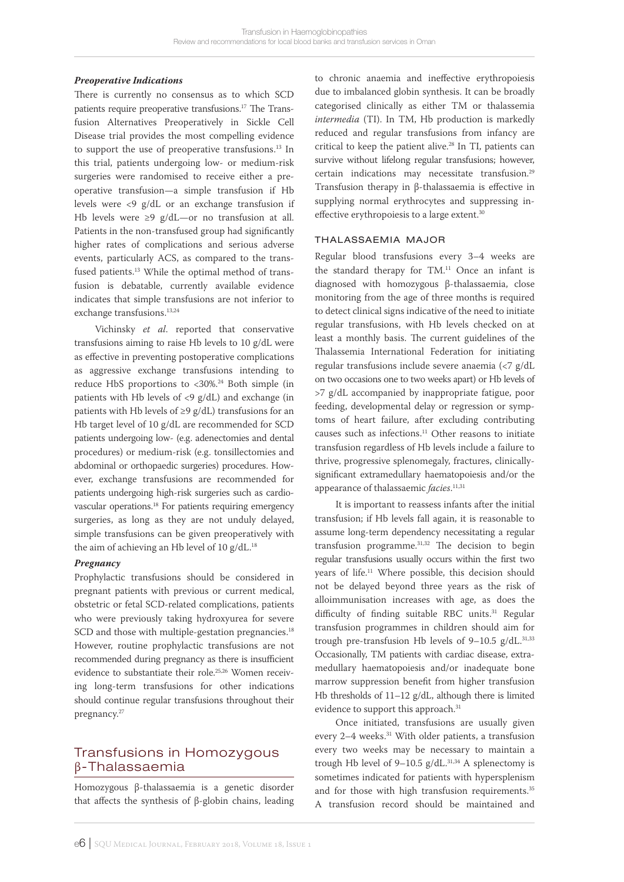## *Preoperative Indications*

There is currently no consensus as to which SCD patients require preoperative transfusions.<sup>17</sup> The Transfusion Alternatives Preoperatively in Sickle Cell Disease trial provides the most compelling evidence to support the use of preoperative transfusions.<sup>13</sup> In this trial, patients undergoing low- or medium-risk surgeries were randomised to receive either a preoperative transfusion—a simple transfusion if Hb levels were <9 g/dL or an exchange transfusion if Hb levels were ≥9 g/dL—or no transfusion at all. Patients in the non-transfused group had significantly higher rates of complications and serious adverse events, particularly ACS, as compared to the transfused patients.13 While the optimal method of transfusion is debatable, currently available evidence indicates that simple transfusions are not inferior to exchange transfusions.<sup>13,24</sup>

Vichinsky *et al*. reported that conservative transfusions aiming to raise Hb levels to 10 g/dL were as effective in preventing postoperative complications as aggressive exchange transfusions intending to reduce HbS proportions to  $<30\%$ .<sup>24</sup> Both simple (in patients with Hb levels of <9 g/dL) and exchange (in patients with Hb levels of  $\geq$ 9 g/dL) transfusions for an Hb target level of 10 g/dL are recommended for SCD patients undergoing low- (e.g. adenectomies and dental procedures) or medium-risk (e.g. tonsillectomies and abdominal or orthopaedic surgeries) procedures. However, exchange transfusions are recommended for patients undergoing high-risk surgeries such as cardiovascular operations.<sup>18</sup> For patients requiring emergency surgeries, as long as they are not unduly delayed, simple transfusions can be given preoperatively with the aim of achieving an Hb level of  $10 \text{ g}/d$ L.<sup>18</sup>

#### *Pregnancy*

Prophylactic transfusions should be considered in pregnant patients with previous or current medical, obstetric or fetal SCD-related complications, patients who were previously taking hydroxyurea for severe SCD and those with multiple-gestation pregnancies.<sup>18</sup> However, routine prophylactic transfusions are not recommended during pregnancy as there is insufficient evidence to substantiate their role.25,26 Women receiving long-term transfusions for other indications should continue regular transfusions throughout their pregnancy.27

# Transfusions in Homozygous β-Thalassaemia

Homozygous β-thalassaemia is a genetic disorder that affects the synthesis of β-globin chains, leading

to chronic anaemia and ineffective erythropoiesis due to imbalanced globin synthesis. It can be broadly categorised clinically as either TM or thalassemia *intermedia* (TI). In TM, Hb production is markedly reduced and regular transfusions from infancy are critical to keep the patient alive.28 In TI, patients can survive without lifelong regular transfusions; however, certain indications may necessitate transfusion.29 Transfusion therapy in β-thalassaemia is effective in supplying normal erythrocytes and suppressing ineffective erythropoiesis to a large extent.30

## thalassaemia major

Regular blood transfusions every 3–4 weeks are the standard therapy for TM.<sup>11</sup> Once an infant is diagnosed with homozygous β-thalassaemia, close monitoring from the age of three months is required to detect clinical signs indicative of the need to initiate regular transfusions, with Hb levels checked on at least a monthly basis. The current guidelines of the Thalassemia International Federation for initiating regular transfusions include severe anaemia (<7 g/dL on two occasions one to two weeks apart) or Hb levels of >7 g/dL accompanied by inappropriate fatigue, poor feeding, developmental delay or regression or symptoms of heart failure, after excluding contributing causes such as infections.11 Other reasons to initiate transfusion regardless of Hb levels include a failure to thrive, progressive splenomegaly, fractures, clinicallysignificant extramedullary haematopoiesis and/or the appearance of thalassaemic *facies*. 11,31

It is important to reassess infants after the initial transfusion; if Hb levels fall again, it is reasonable to assume long-term dependency necessitating a regular transfusion programme. $31,32$  The decision to begin regular transfusions usually occurs within the first two years of life.<sup>11</sup> Where possible, this decision should not be delayed beyond three years as the risk of alloimmunisation increases with age, as does the difficulty of finding suitable RBC units.<sup>31</sup> Regular transfusion programmes in children should aim for trough pre-transfusion Hb levels of  $9-10.5$  g/dL.<sup>31,33</sup> Occasionally, TM patients with cardiac disease, extramedullary haematopoiesis and/or inadequate bone marrow suppression benefit from higher transfusion Hb thresholds of 11–12 g/dL, although there is limited evidence to support this approach.<sup>31</sup>

Once initiated, transfusions are usually given every 2-4 weeks.<sup>31</sup> With older patients, a transfusion every two weeks may be necessary to maintain a trough Hb level of 9–10.5  $g/dL$ .<sup>31,34</sup> A splenectomy is sometimes indicated for patients with hypersplenism and for those with high transfusion requirements.<sup>35</sup> A transfusion record should be maintained and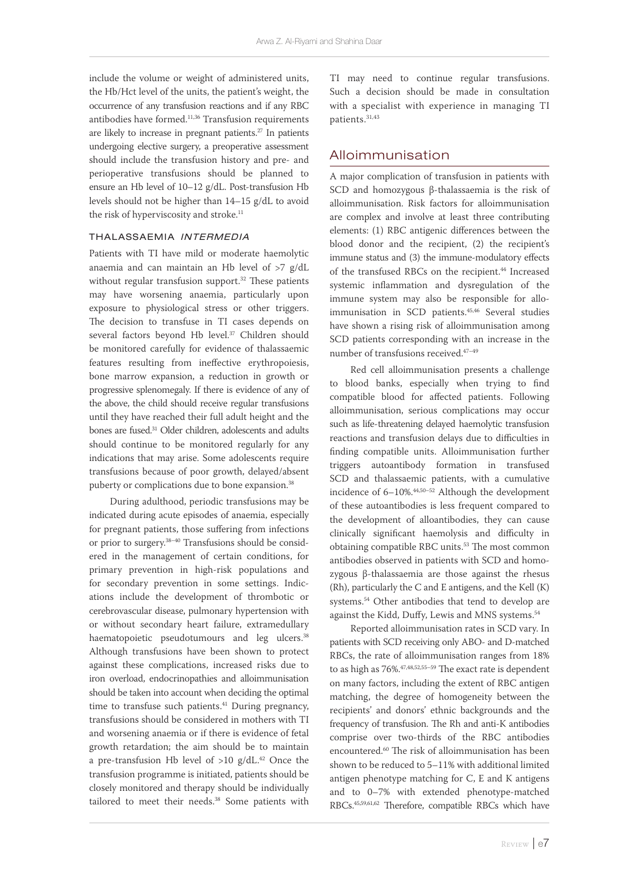include the volume or weight of administered units, the Hb/Hct level of the units, the patient's weight, the occurrence of any transfusion reactions and if any RBC antibodies have formed.<sup>11,36</sup> Transfusion requirements are likely to increase in pregnant patients.<sup>27</sup> In patients undergoing elective surgery, a preoperative assessment should include the transfusion history and pre- and perioperative transfusions should be planned to ensure an Hb level of 10–12 g/dL. Post-transfusion Hb levels should not be higher than 14–15 g/dL to avoid the risk of hyperviscosity and stroke.<sup>11</sup>

### thalassaemia intermedia

Patients with TI have mild or moderate haemolytic anaemia and can maintain an Hb level of  $>7$  g/dL without regular transfusion support.<sup>32</sup> These patients may have worsening anaemia, particularly upon exposure to physiological stress or other triggers. The decision to transfuse in TI cases depends on several factors beyond Hb level.<sup>37</sup> Children should be monitored carefully for evidence of thalassaemic features resulting from ineffective erythropoiesis, bone marrow expansion, a reduction in growth or progressive splenomegaly. If there is evidence of any of the above, the child should receive regular transfusions until they have reached their full adult height and the bones are fused.31 Older children, adolescents and adults should continue to be monitored regularly for any indications that may arise. Some adolescents require transfusions because of poor growth, delayed/absent puberty or complications due to bone expansion.<sup>38</sup>

During adulthood, periodic transfusions may be indicated during acute episodes of anaemia, especially for pregnant patients, those suffering from infections or prior to surgery.38–40 Transfusions should be considered in the management of certain conditions, for primary prevention in high-risk populations and for secondary prevention in some settings. Indications include the development of thrombotic or cerebrovascular disease, pulmonary hypertension with or without secondary heart failure, extramedullary haematopoietic pseudotumours and leg ulcers.<sup>38</sup> Although transfusions have been shown to protect against these complications, increased risks due to iron overload, endocrinopathies and alloimmunisation should be taken into account when deciding the optimal time to transfuse such patients.<sup>41</sup> During pregnancy, transfusions should be considered in mothers with TI and worsening anaemia or if there is evidence of fetal growth retardation; the aim should be to maintain a pre-transfusion Hb level of  $>10$  g/dL.<sup>42</sup> Once the transfusion programme is initiated, patients should be closely monitored and therapy should be individually tailored to meet their needs.<sup>38</sup> Some patients with TI may need to continue regular transfusions. Such a decision should be made in consultation with a specialist with experience in managing TI patients.31,43

# Alloimmunisation

A major complication of transfusion in patients with SCD and homozygous β-thalassaemia is the risk of alloimmunisation. Risk factors for alloimmunisation are complex and involve at least three contributing elements: (1) RBC antigenic differences between the blood donor and the recipient, (2) the recipient's immune status and (3) the immune-modulatory effects of the transfused RBCs on the recipient.<sup>44</sup> Increased systemic inflammation and dysregulation of the immune system may also be responsible for alloimmunisation in SCD patients.45,46 Several studies have shown a rising risk of alloimmunisation among SCD patients corresponding with an increase in the number of transfusions received.47–49

Red cell alloimmunisation presents a challenge to blood banks, especially when trying to find compatible blood for affected patients. Following alloimmunisation, serious complications may occur such as life-threatening delayed haemolytic transfusion reactions and transfusion delays due to difficulties in finding compatible units. Alloimmunisation further triggers autoantibody formation in transfused SCD and thalassaemic patients, with a cumulative incidence of 6–10%.44,50–52 Although the development of these autoantibodies is less frequent compared to the development of alloantibodies, they can cause clinically significant haemolysis and difficulty in obtaining compatible RBC units.<sup>53</sup> The most common antibodies observed in patients with SCD and homozygous β-thalassaemia are those against the rhesus  $(Rh)$ , particularly the C and E antigens, and the Kell  $(K)$ systems.54 Other antibodies that tend to develop are against the Kidd, Duffy, Lewis and MNS systems.<sup>54</sup>

Reported alloimmunisation rates in SCD vary. In patients with SCD receiving only ABO- and D-matched RBCs, the rate of alloimmunisation ranges from 18% to as high as 76%.<sup>47,48,52,55-59</sup> The exact rate is dependent on many factors, including the extent of RBC antigen matching, the degree of homogeneity between the recipients' and donors' ethnic backgrounds and the frequency of transfusion. The Rh and anti-K antibodies comprise over two-thirds of the RBC antibodies encountered.60 The risk of alloimmunisation has been shown to be reduced to 5–11% with additional limited antigen phenotype matching for C, E and K antigens and to 0–7% with extended phenotype-matched RBCs.45,59,61,62 Therefore, compatible RBCs which have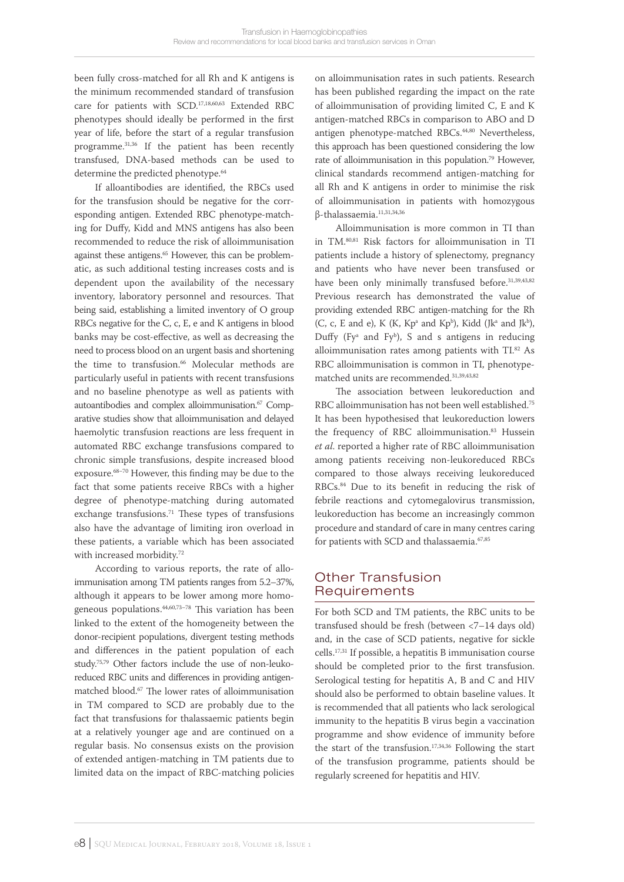been fully cross-matched for all Rh and K antigens is the minimum recommended standard of transfusion care for patients with SCD.17,18,60,63 Extended RBC phenotypes should ideally be performed in the first year of life, before the start of a regular transfusion programme.31,36 If the patient has been recently transfused, DNA-based methods can be used to determine the predicted phenotype.<sup>64</sup>

If alloantibodies are identified, the RBCs used for the transfusion should be negative for the corresponding antigen. Extended RBC phenotype-matching for Duffy, Kidd and MNS antigens has also been recommended to reduce the risk of alloimmunisation against these antigens.<sup>65</sup> However, this can be problematic, as such additional testing increases costs and is dependent upon the availability of the necessary inventory, laboratory personnel and resources. That being said, establishing a limited inventory of O group RBCs negative for the C, c, E, e and K antigens in blood banks may be cost-effective, as well as decreasing the need to process blood on an urgent basis and shortening the time to transfusion.<sup>66</sup> Molecular methods are particularly useful in patients with recent transfusions and no baseline phenotype as well as patients with autoantibodies and complex alloimmunisation.<sup>67</sup> Comparative studies show that alloimmunisation and delayed haemolytic transfusion reactions are less frequent in automated RBC exchange transfusions compared to chronic simple transfusions, despite increased blood exposure.68–70 However, this finding may be due to the fact that some patients receive RBCs with a higher degree of phenotype-matching during automated exchange transfusions.<sup>71</sup> These types of transfusions also have the advantage of limiting iron overload in these patients, a variable which has been associated with increased morbidity.<sup>72</sup>

According to various reports, the rate of alloimmunisation among TM patients ranges from 5.2–37%, although it appears to be lower among more homogeneous populations.44,60,73–78 This variation has been linked to the extent of the homogeneity between the donor-recipient populations, divergent testing methods and differences in the patient population of each study.75,79 Other factors include the use of non-leukoreduced RBC units and differences in providing antigenmatched blood.67 The lower rates of alloimmunisation in TM compared to SCD are probably due to the fact that transfusions for thalassaemic patients begin at a relatively younger age and are continued on a regular basis. No consensus exists on the provision of extended antigen-matching in TM patients due to limited data on the impact of RBC-matching policies

on alloimmunisation rates in such patients. Research has been published regarding the impact on the rate of alloimmunisation of providing limited C, E and K antigen-matched RBCs in comparison to ABO and D antigen phenotype-matched RBCs.<sup>44,80</sup> Nevertheless, this approach has been questioned considering the low rate of alloimmunisation in this population.<sup>79</sup> However, clinical standards recommend antigen-matching for all Rh and K antigens in order to minimise the risk of alloimmunisation in patients with homozygous β-thalassaemia.11,31,34,36

Alloimmunisation is more common in TI than in TM.80,81 Risk factors for alloimmunisation in TI patients include a history of splenectomy, pregnancy and patients who have never been transfused or have been only minimally transfused before.<sup>31,39,43,82</sup> Previous research has demonstrated the value of providing extended RBC antigen-matching for the Rh  $(C, c, E \text{ and } e)$ ,  $K(K, Kp^a \text{ and } Kp^b)$ , Kidd  $(Jk^a \text{ and } Jk^b)$ , Duffy (Fy<sup>a</sup> and Fy<sup>b</sup>), S and s antigens in reducing alloimmunisation rates among patients with TI.82 As RBC alloimmunisation is common in TI, phenotypematched units are recommended.31,39,43,82

The association between leukoreduction and RBC alloimmunisation has not been well established.75 It has been hypothesised that leukoreduction lowers the frequency of RBC alloimmunisation.<sup>83</sup> Hussein *et al*. reported a higher rate of RBC alloimmunisation among patients receiving non-leukoreduced RBCs compared to those always receiving leukoreduced RBCs.84 Due to its benefit in reducing the risk of febrile reactions and cytomegalovirus transmission, leukoreduction has become an increasingly common procedure and standard of care in many centres caring for patients with SCD and thalassaemia.<sup>67,85</sup>

# Other Transfusion Requirements

For both SCD and TM patients, the RBC units to be transfused should be fresh (between <7–14 days old) and, in the case of SCD patients, negative for sickle cells.17,31 If possible, a hepatitis B immunisation course should be completed prior to the first transfusion. Serological testing for hepatitis A, B and C and HIV should also be performed to obtain baseline values. It is recommended that all patients who lack serological immunity to the hepatitis B virus begin a vaccination programme and show evidence of immunity before the start of the transfusion.17,34,36 Following the start of the transfusion programme, patients should be regularly screened for hepatitis and HIV.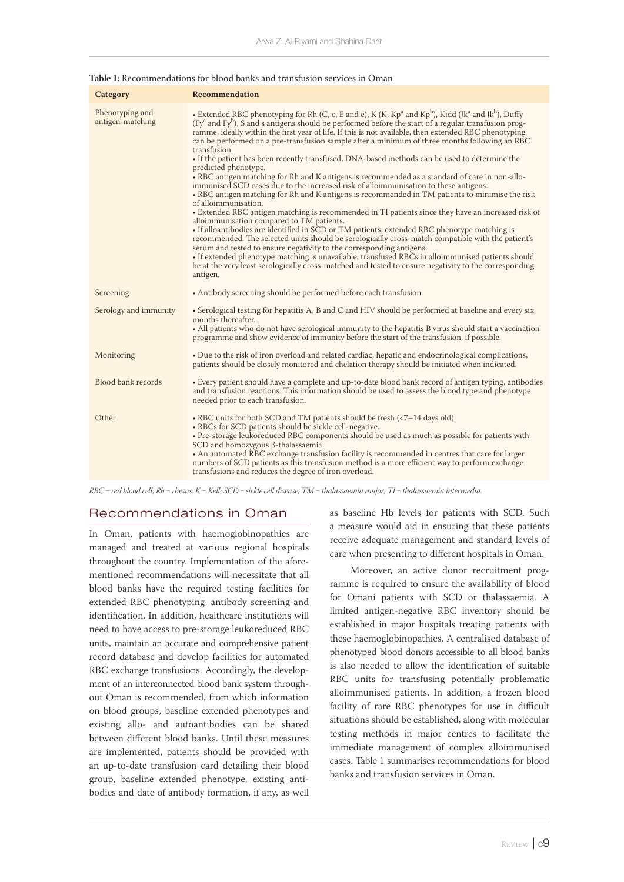| Category                            | Recommendation                                                                                                                                                                                                                                                                                                                                                                                                                                                                                                                                                                                                                                                                                                                                                                                                                                                                                                                                                                                                                                                                                                                                                                                                                                                                                                                                                                                                                                                                                                                                                                   |
|-------------------------------------|----------------------------------------------------------------------------------------------------------------------------------------------------------------------------------------------------------------------------------------------------------------------------------------------------------------------------------------------------------------------------------------------------------------------------------------------------------------------------------------------------------------------------------------------------------------------------------------------------------------------------------------------------------------------------------------------------------------------------------------------------------------------------------------------------------------------------------------------------------------------------------------------------------------------------------------------------------------------------------------------------------------------------------------------------------------------------------------------------------------------------------------------------------------------------------------------------------------------------------------------------------------------------------------------------------------------------------------------------------------------------------------------------------------------------------------------------------------------------------------------------------------------------------------------------------------------------------|
| Phenotyping and<br>antigen-matching | • Extended RBC phenotyping for Rh (C, c, E and e), K (K, $Kp^a$ and $Kp^b$ ), Kidd (Jk <sup>a</sup> and Jk <sup>b</sup> ), Duffy<br>$(Fy^a$ and $Fy^b$ ), S and s antigens should be performed before the start of a regular transfusion prog-<br>ramme, ideally within the first year of life. If this is not available, then extended RBC phenotyping<br>can be performed on a pre-transfusion sample after a minimum of three months following an RBC<br>transfusion.<br>• If the patient has been recently transfused, DNA-based methods can be used to determine the<br>predicted phenotype.<br>• RBC antigen matching for Rh and K antigens is recommended as a standard of care in non-allo-<br>immunised SCD cases due to the increased risk of alloimmunisation to these antigens.<br>• RBC antigen matching for Rh and K antigens is recommended in TM patients to minimise the risk<br>of alloimmunisation.<br>• Extended RBC antigen matching is recommended in TI patients since they have an increased risk of<br>alloimmunisation compared to TM patients.<br>• If alloantibodies are identified in SCD or TM patients, extended RBC phenotype matching is<br>recommended. The selected units should be serologically cross-match compatible with the patient's<br>serum and tested to ensure negativity to the corresponding antigens.<br>• If extended phenotype matching is unavailable, transfused RBCs in alloimmunised patients should<br>be at the very least serologically cross-matched and tested to ensure negativity to the corresponding<br>antigen. |
| Screening                           | • Antibody screening should be performed before each transfusion.                                                                                                                                                                                                                                                                                                                                                                                                                                                                                                                                                                                                                                                                                                                                                                                                                                                                                                                                                                                                                                                                                                                                                                                                                                                                                                                                                                                                                                                                                                                |
| Serology and immunity               | • Serological testing for hepatitis A, B and C and HIV should be performed at baseline and every six<br>months thereafter.<br>• All patients who do not have serological immunity to the hepatitis B virus should start a vaccination<br>programme and show evidence of immunity before the start of the transfusion, if possible.                                                                                                                                                                                                                                                                                                                                                                                                                                                                                                                                                                                                                                                                                                                                                                                                                                                                                                                                                                                                                                                                                                                                                                                                                                               |
| Monitoring                          | • Due to the risk of iron overload and related cardiac, hepatic and endocrinological complications,<br>patients should be closely monitored and chelation therapy should be initiated when indicated.                                                                                                                                                                                                                                                                                                                                                                                                                                                                                                                                                                                                                                                                                                                                                                                                                                                                                                                                                                                                                                                                                                                                                                                                                                                                                                                                                                            |
| Blood bank records                  | • Every patient should have a complete and up-to-date blood bank record of antigen typing, antibodies<br>and transfusion reactions. This information should be used to assess the blood type and phenotype<br>needed prior to each transfusion.                                                                                                                                                                                                                                                                                                                                                                                                                                                                                                                                                                                                                                                                                                                                                                                                                                                                                                                                                                                                                                                                                                                                                                                                                                                                                                                                  |
| Other                               | $\bullet$ RBC units for both SCD and TM patients should be fresh ( $\lt$ 7–14 days old).<br>• RBCs for SCD patients should be sickle cell-negative.<br>• Pre-storage leukoreduced RBC components should be used as much as possible for patients with<br>SCD and homozygous β-thalassaemia.<br>• An automated RBC exchange transfusion facility is recommended in centres that care for larger<br>numbers of SCD patients as this transfusion method is a more efficient way to perform exchange<br>transfusions and reduces the degree of iron overload.                                                                                                                                                                                                                                                                                                                                                                                                                                                                                                                                                                                                                                                                                                                                                                                                                                                                                                                                                                                                                        |

**Table 1:** Recommendations for blood banks and transfusion services in Oman

*RBC = red blood cell; Rh = rhesus; K = Kell; SCD = sickle cell disease, TM = thalassaemia major; TI = thalassaemia intermedia.*

# Recommendations in Oman

In Oman, patients with haemoglobinopathies are managed and treated at various regional hospitals throughout the country. Implementation of the aforementioned recommendations will necessitate that all blood banks have the required testing facilities for extended RBC phenotyping, antibody screening and identification. In addition, healthcare institutions will need to have access to pre-storage leukoreduced RBC units, maintain an accurate and comprehensive patient record database and develop facilities for automated RBC exchange transfusions. Accordingly, the development of an interconnected blood bank system throughout Oman is recommended, from which information on blood groups, baseline extended phenotypes and existing allo- and autoantibodies can be shared between different blood banks. Until these measures are implemented, patients should be provided with an up-to-date transfusion card detailing their blood group, baseline extended phenotype, existing antibodies and date of antibody formation, if any, as well as baseline Hb levels for patients with SCD. Such a measure would aid in ensuring that these patients receive adequate management and standard levels of care when presenting to different hospitals in Oman.

Moreover, an active donor recruitment programme is required to ensure the availability of blood for Omani patients with SCD or thalassaemia. A limited antigen-negative RBC inventory should be established in major hospitals treating patients with these haemoglobinopathies. A centralised database of phenotyped blood donors accessible to all blood banks is also needed to allow the identification of suitable RBC units for transfusing potentially problematic alloimmunised patients. In addition, a frozen blood facility of rare RBC phenotypes for use in difficult situations should be established, along with molecular testing methods in major centres to facilitate the immediate management of complex alloimmunised cases. Table 1 summarises recommendations for blood banks and transfusion services in Oman.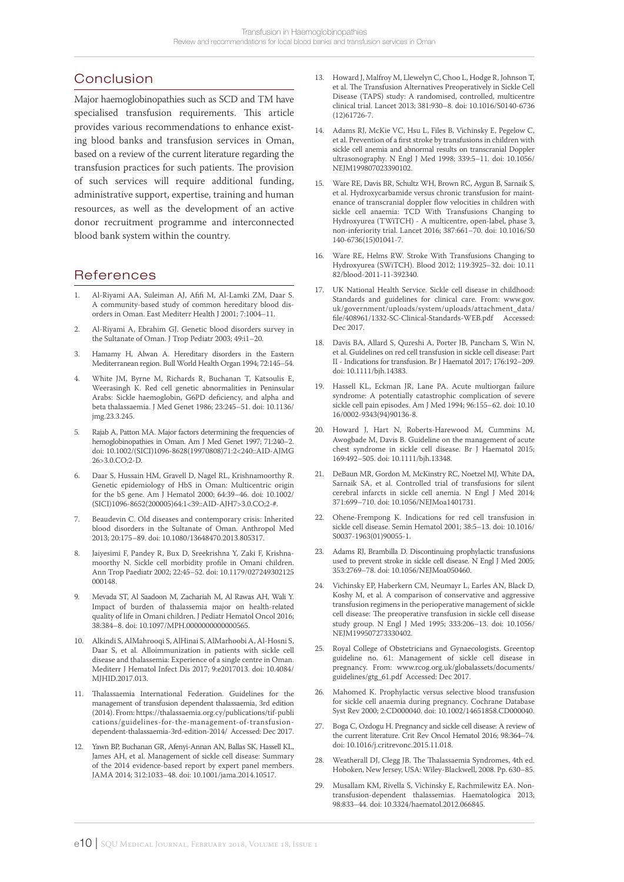# Conclusion

Major haemoglobinopathies such as SCD and TM have specialised transfusion requirements. This article provides various recommendations to enhance existing blood banks and transfusion services in Oman, based on a review of the current literature regarding the transfusion practices for such patients. The provision of such services will require additional funding, administrative support, expertise, training and human resources, as well as the development of an active donor recruitment programme and interconnected blood bank system within the country.

# References

- 1. Al-Riyami AA, Suleiman AJ, Afifi M, Al-Lamki ZM, Daar S. A community-based study of common hereditary blood disorders in Oman. East Mediterr Health J 2001; 7:1004–11.
- 2. Al-Riyami A, Ebrahim GJ. Genetic blood disorders survey in the Sultanate of Oman. J Trop Pediatr 2003; 49:i1–20.
- 3. Hamamy H, Alwan A. Hereditary disorders in the Eastern Mediterranean region. Bull World Health Organ 1994; 72:145–54.
- 4. White JM, Byrne M, Richards R, Buchanan T, Katsoulis E, Weerasingh K. Red cell genetic abnormalities in Peninsular Arabs: Sickle haemoglobin, G6PD deficiency, and alpha and beta thalassaemia. J Med Genet 1986; 23:245–51. [doi: 10.1136/](https://doi.org/10.1136/jmg.23.3.245) [jmg.23.3.245.](https://doi.org/10.1136/jmg.23.3.245)
- 5. Rajab A, Patton MA. Major factors determining the frequencies of hemoglobinopathies in Oman. Am J Med Genet 1997; 71:240–2. [doi: 10.1002/\(SICI\)1096-8628\(19970808\)71:2<240::AID-AJMG](https://doi.org/10.1002/%28SICI%291096-8628%2819970808%2971:2%3C240::AID-AJMG26%3E3.0.CO%3B2-D) [26>3.0.CO;2-D](https://doi.org/10.1002/%28SICI%291096-8628%2819970808%2971:2%3C240::AID-AJMG26%3E3.0.CO%3B2-D).
- Daar S, Hussain HM, Gravell D, Nagel RL, Krishnamoorthy R. Genetic epidemiology of HbS in Oman: Multicentric origin for the bS gene. Am J Hematol 2000; 64:39–46. [doi: 10.1002/](https://doi.org/10.1002/%28SICI%291096-8652%28200005%2964:1%3C39::AID-AJH7%3E3.0.CO%3B2-%23) [\(SICI\)1096-8652\(200005\)64:1<39::AID-AJH7>3.0.CO;2-#.](https://doi.org/10.1002/%28SICI%291096-8652%28200005%2964:1%3C39::AID-AJH7%3E3.0.CO%3B2-%23)
- 7. Beaudevin C. Old diseases and contemporary crisis: Inherited blood disorders in the Sultanate of Oman. Anthropol Med 2013; 20:175–89. [doi: 10.1080/13648470.2013.805317.](https://doi.org/10.1080/13648470.2013.805317)
- 8. Jaiyesimi F, Pandey R, Bux D, Sreekrishna Y, Zaki F, Krishnamoorthy N. Sickle cell morbidity profile in Omani children. Ann Trop Paediatr 2002; 22:45–52. [doi: 10.1179/027249302125](https://doi.org/10.1179/027249302125000148) [000148](https://doi.org/10.1179/027249302125000148).
- 9. Mevada ST, Al Saadoon M, Zachariah M, Al Rawas AH, Wali Y. Impact of burden of thalassemia major on health-related quality of life in Omani children. J Pediatr Hematol Oncol 2016; 38:384–8. [doi: 10.1097/MPH.0000000000000565.](https://doi.org/10.1097/MPH.0000000000000565)
- 10. Alkindi S, AlMahrooqi S, AlHinai S, AlMarhoobi A, Al-Hosni S, Daar S, et al. Alloimmunization in patients with sickle cell disease and thalassemia: Experience of a single centre in Oman. Mediterr J Hematol Infect Dis 2017; 9:e2017013. [doi: 10.4084/](https://doi.org/10.4084/MJHID.2017.013) [MJHID.2017.013.](https://doi.org/10.4084/MJHID.2017.013)
- 11. Thalassaemia International Federation. Guidelines for the management of transfusion dependent thalassaemia, 3rd edition (2014). From: https://thalassaemia.org.cy/publications/tif-publi cations/guidelines-for-the-management-of-transfusiondependent-thalassaemia-3rd-edition-2014/ Accessed: Dec 2017.
- 12. Yawn BP, Buchanan GR, Afenyi-Annan AN, Ballas SK, Hassell KL, James AH, et al. Management of sickle cell disease: Summary of the 2014 evidence-based report by expert panel members. JAMA 2014; 312:1033–48. [doi: 10.1001/jama.2014.10517](https://doi.org/10.1001/jama.2014.10517).
- 13. Howard J, Malfroy M, Llewelyn C, Choo L, Hodge R, Johnson T, et al. The Transfusion Alternatives Preoperatively in Sickle Cell Disease (TAPS) study: A randomised, controlled, multicentre clinical trial. Lancet 2013; 381:930–8. [doi: 10.1016/S0140-6736](https://doi.org/10.1016/S0140-6736%2812%2961726-7) [\(12\)61726-7.](https://doi.org/10.1016/S0140-6736%2812%2961726-7)
- 14. Adams RJ, McKie VC, Hsu L, Files B, Vichinsky E, Pegelow C, et al. Prevention of a first stroke by transfusions in children with sickle cell anemia and abnormal results on transcranial Doppler ultrasonography. N Engl J Med 1998; 339:5–11. [doi: 10.1056/](https://doi.org/10.1056/NEJM199807023390102) [NEJM199807023390102](https://doi.org/10.1056/NEJM199807023390102).
- 15. Ware RE, Davis BR, Schultz WH, Brown RC, Aygun B, Sarnaik S, et al. Hydroxycarbamide versus chronic transfusion for maintenance of transcranial doppler flow velocities in children with sickle cell anaemia: TCD With Transfusions Changing to Hydroxyurea (TWiTCH) - A multicentre, open-label, phase 3, non-inferiority trial. Lancet 2016; 387:661–70. [doi: 10.1016/S0](https://doi.org/10.1016/S0140-6736%2815%2901041-7) [140-6736\(15\)01041-7](https://doi.org/10.1016/S0140-6736%2815%2901041-7).
- Ware RE, Helms RW. Stroke With Transfusions Changing to Hydroxyurea (SWiTCH). Blood 2012; 119:3925–32. [doi: 10.11](https://doi.org/10.1182/blood-2011-11-392340) [82/blood-2011-11-392340.](https://doi.org/10.1182/blood-2011-11-392340)
- 17. UK National Health Service. Sickle cell disease in childhood: Standards and guidelines for clinical care. From: www.gov. uk/government/uploads/system/uploads/attachment\_data/ file/408961/1332-SC-Clinical-Standards-WEB.pdf Accessed: Dec 2017.
- 18. Davis BA, Allard S, Qureshi A, Porter JB, Pancham S, Win N, et al. Guidelines on red cell transfusion in sickle cell disease: Part II - Indications for transfusion. Br J Haematol 2017; 176:192–209. [doi: 10.1111/bjh.14383](https://doi.org/10.1111/bjh.14383).
- 19. Hassell KL, Eckman JR, Lane PA. Acute multiorgan failure syndrome: A potentially catastrophic complication of severe sickle cell pain episodes. Am J Med 1994; 96:155–62. [doi: 10.10](https://doi.org/10.1016/0002-9343%2894%2990136-8) [16/0002-9343\(94\)90136-8.](https://doi.org/10.1016/0002-9343%2894%2990136-8)
- 20. Howard J, Hart N, Roberts-Harewood M, Cummins M, Awogbade M, Davis B. Guideline on the management of acute chest syndrome in sickle cell disease. Br J Haematol 2015; 169:492–505. [doi: 10.1111/bjh.13348.](https://doi.org/10.1111/bjh.13348)
- 21. DeBaun MR, Gordon M, McKinstry RC, Noetzel MJ, White DA, Sarnaik SA, et al. Controlled trial of transfusions for silent cerebral infarcts in sickle cell anemia. N Engl J Med 2014; 371:699–710. [doi: 10.1056/NEJMoa1401731](https://doi.org/10.1056/NEJMoa1401731).
- 22. Ohene-Frempong K. Indications for red cell transfusion in sickle cell disease. Semin Hematol 2001; 38:5–13. [doi: 10.1016/](https://doi.org/10.1016/S0037-1963%2801%2990055-1) [S0037-1963\(01\)90055-1.](https://doi.org/10.1016/S0037-1963%2801%2990055-1)
- Adams RJ, Brambilla D. Discontinuing prophylactic transfusions used to prevent stroke in sickle cell disease. N Engl J Med 2005; 353:2769–78. [doi: 10.1056/NEJMoa050460.](https://doi.org/10.1056/NEJMoa050460)
- 24. Vichinsky EP, Haberkern CM, Neumayr L, Earles AN, Black D, Koshy M, et al. A comparison of conservative and aggressive transfusion regimens in the perioperative management of sickle cell disease: The preoperative transfusion in sickle cell disease study group. N Engl J Med 1995; 333:206–13. [doi: 10.1056/](https://doi.org/10.1056/NEJM199507273330402) NEIM199507273330402.
- 25. Royal College of Obstetricians and Gynaecologists. Greentop guideline no. 61: Management of sickle cell disease in pregnancy. From: www.rcog.org.uk/globalassets/documents/ guidelines/gtg\_61.pdf Accessed: Dec 2017.
- 26. Mahomed K. Prophylactic versus selective blood transfusion for sickle cell anaemia during pregnancy. Cochrane Database Syst Rev 2000; 2:CD000040. [doi: 10.1002/14651858.CD000040.](https://doi.org/10.1002/14651858.CD000040)
- Boga C, Ozdogu H. Pregnancy and sickle cell disease: A review of the current literature. Crit Rev Oncol Hematol 2016; 98:364–74. [doi: 10.1016/j.critrevonc.2015.11.018.](https://doi.org/10.1016/j.critrevonc.2015.11.018)
- 28. Weatherall DJ, Clegg JB. The Thalassaemia Syndromes, 4th ed. Hoboken, New Jersey, USA: Wiley-Blackwell, 2008. Pp. 630–85.
- 29. Musallam KM, Rivella S, Vichinsky E, Rachmilewitz EA. Nontransfusion-dependent thalassemias. Haematologica 2013; 98:833–44. [doi: 10.3324/haematol.2012.066845](https://doi.org/10.3324/haematol.2012.066845).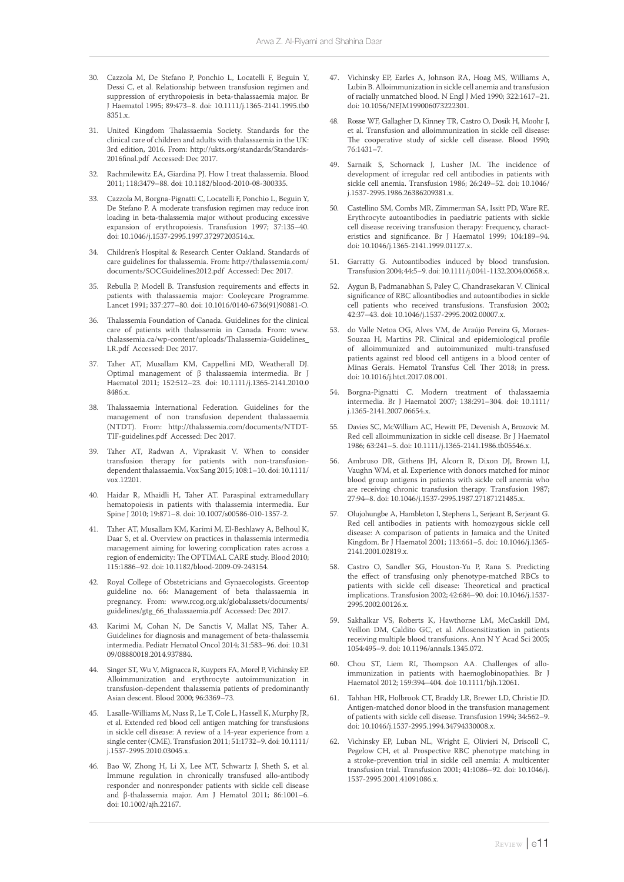- 30. Cazzola M, De Stefano P, Ponchio L, Locatelli F, Beguin Y, Dessi C, et al. Relationship between transfusion regimen and suppression of erythropoiesis in beta-thalassaemia major. Br J Haematol 1995; 89:473–8. [doi: 10.1111/j.1365-2141.1995.tb0](https://doi.org/10.1111/j.1365-2141.1995.tb08351.x) [8351.x](https://doi.org/10.1111/j.1365-2141.1995.tb08351.x).
- 31. United Kingdom Thalassaemia Society. Standards for the clinical care of children and adults with thalassaemia in the UK: 3rd edition, 2016. From: http://ukts.org/standards/Standards-2016final.pdf Accessed: Dec 2017.
- 32. Rachmilewitz EA, Giardina PJ. How I treat thalassemia. Blood 2011; 118:3479–88. [doi: 10.1182/blood-2010-08-300335.](https://doi.org/10.1182/blood-2010-08-300335)
- 33. Cazzola M, Borgna-Pignatti C, Locatelli F, Ponchio L, Beguin Y, De Stefano P. A moderate transfusion regimen may reduce iron loading in beta-thalassemia major without producing excessive expansion of erythropoiesis. Transfusion 1997; 37:135–40. [doi: 10.1046/j.1537-2995.1997.37297203514.x.](https://doi.org/10.1046/j.1537-2995.1997.37297203514.x)
- 34. Children's Hospital & Research Center Oakland. Standards of care guidelines for thalassemia. From: http://thalassemia.com/ documents/SOCGuidelines2012.pdf Accessed: Dec 2017.
- 35. Rebulla P, Modell B. Transfusion requirements and effects in patients with thalassaemia major: Cooleycare Programme. Lancet 1991; 337:277–80. [doi: 10.1016/0140-6736\(91\)90881-O](https://doi.org/10.1016/0140-6736%2891%2990881-O).
- 36. Thalassemia Foundation of Canada. Guidelines for the clinical care of patients with thalassemia in Canada. From: www. thalassemia.ca/wp-content/uploads/Thalassemia-Guidelines\_ LR.pdf Accessed: Dec 2017.
- 37. Taher AT, Musallam KM, Cappellini MD, Weatherall DJ. Optimal management of β thalassaemia intermedia. Br J Haematol 2011; 152:512–23. [doi: 10.1111/j.1365-2141.2010.0](https://doi.org/10.1111/j.1365-2141.2010.08486.x) [8486.x](https://doi.org/10.1111/j.1365-2141.2010.08486.x).
- 38. Thalassaemia International Federation. Guidelines for the management of non transfusion dependent thalassaemia (NTDT). From: http://thalassemia.com/documents/NTDT-TIF-guidelines.pdf Accessed: Dec 2017.
- 39. Taher AT, Radwan A, Viprakasit V. When to consider transfusion therapy for patients with non-transfusiondependent thalassaemia. Vox Sang 2015; 108:1–10. [doi: 10.1111/](https://doi.org/10.1111/vox.12201) [vox.12201](https://doi.org/10.1111/vox.12201).
- 40. Haidar R, Mhaidli H, Taher AT. Paraspinal extramedullary hematopoiesis in patients with thalassemia intermedia. Eur Spine J 2010; 19:871–8. [doi: 10.1007/s00586-010-1357-2.](https://doi.org/10.1007/s00586-010-1357-2)
- 41. Taher AT, Musallam KM, Karimi M, El-Beshlawy A, Belhoul K, Daar S, et al. Overview on practices in thalassemia intermedia management aiming for lowering complication rates across a region of endemicity: The OPTIMAL CARE study. Blood 2010; 115:1886–92. [doi: 10.1182/blood-2009-09-243154.](https://doi.org/10.1182/blood-2009-09-243154)
- 42. Royal College of Obstetricians and Gynaecologists. Greentop guideline no. 66: Management of beta thalassaemia in pregnancy. From: www.rcog.org.uk/globalassets/documents/ guidelines/gtg\_66\_thalassaemia.pdf Accessed: Dec 2017.
- 43. Karimi M, Cohan N, De Sanctis V, Mallat NS, Taher A. Guidelines for diagnosis and management of beta-thalassemia intermedia. Pediatr Hematol Oncol 2014; 31:583–96. [doi: 10.31](https://doi.org/10.3109/08880018.2014.937884) [09/08880018.2014.937884.](https://doi.org/10.3109/08880018.2014.937884)
- Singer ST, Wu V, Mignacca R, Kuypers FA, Morel P, Vichinsky EP. Alloimmunization and erythrocyte autoimmunization in transfusion-dependent thalassemia patients of predominantly Asian descent. Blood 2000; 96:3369–73.
- 45. Lasalle-Williams M, Nuss R, Le T, Cole L, Hassell K, Murphy JR, et al. Extended red blood cell antigen matching for transfusions in sickle cell disease: A review of a 14-year experience from a single center (CME). Transfusion 2011; 51:1732–9. [doi: 10.1111/](https://doi.org/10.1111/j.1537-2995.2010.03045.x) [j.1537-2995.2010.03045.x.](https://doi.org/10.1111/j.1537-2995.2010.03045.x)
- 46. Bao W, Zhong H, Li X, Lee MT, Schwartz J, Sheth S, et al. Immune regulation in chronically transfused allo-antibody responder and nonresponder patients with sickle cell disease and β-thalassemia major. Am J Hematol 2011; 86:1001–6. [doi: 10.1002/ajh.22167](https://doi.org/10.1002/ajh.22167).
- 47. Vichinsky EP, Earles A, Johnson RA, Hoag MS, Williams A, Lubin B. Alloimmunization in sickle cell anemia and transfusion of racially unmatched blood. N Engl J Med 1990; 322:1617–21. [doi: 10.1056/NEJM199006073222301.](https://doi.org/10.1056/NEJM199006073222301)
- 48. Rosse WF, Gallagher D, Kinney TR, Castro O, Dosik H, Moohr J, et al. Transfusion and alloimmunization in sickle cell disease: The cooperative study of sickle cell disease. Blood 1990; 76:1431–7.
- 49. Sarnaik S, Schornack J, Lusher JM. The incidence of development of irregular red cell antibodies in patients with sickle cell anemia. Transfusion 1986; 26:249–52. [doi: 10.1046/](https://doi.org/10.1046/j.1537-2995.1986.26386209381.x) [j.1537-2995.1986.26386209381.x](https://doi.org/10.1046/j.1537-2995.1986.26386209381.x).
- 50. Castellino SM, Combs MR, Zimmerman SA, Issitt PD, Ware RE. Erythrocyte autoantibodies in paediatric patients with sickle cell disease receiving transfusion therapy: Frequency, characteristics and significance. Br J Haematol 1999; 104:189–94. [doi: 10.1046/j.1365-2141.1999.01127.x](https://doi.org/10.1046/j.1365-2141.1999.01127.x).
- Garratty G. Autoantibodies induced by blood transfusion. Transfusion 2004; 44:5–9. [doi: 10.1111/j.0041-1132.2004.00658.x.](https://doi.org/10.1111/j.0041-1132.2004.00658.x)
- 52. Aygun B, Padmanabhan S, Paley C, Chandrasekaran V. Clinical significance of RBC alloantibodies and autoantibodies in sickle cell patients who received transfusions. Transfusion 2002; 42:37–43. [doi: 10.1046/j.1537-2995.2002.00007.x.](https://doi.org/10.1046/j.1537-2995.2002.00007.x)
- 53. do Valle Netoa OG, Alves VM, de Araújo Pereira G, Moraes-Souzaa H, Martins PR. Clinical and epidemiological profile of alloimmunized and autoimmunized multi-transfused patients against red blood cell antigens in a blood center of Minas Gerais. Hematol Transfus Cell Ther 2018; in press. [doi: 10.1016/j.htct.2017.08.001](https://doi.org/10.1016/j.htct.2017.08.001).
- 54. Borgna-Pignatti C. Modern treatment of thalassaemia intermedia. Br J Haematol 2007; 138:291–304. [doi: 10.1111/](https://doi.org/10.1111/j.1365-2141.2007.06654.x) [j.1365-2141.2007.06654.x](https://doi.org/10.1111/j.1365-2141.2007.06654.x).
- 55. Davies SC, McWilliam AC, Hewitt PE, Devenish A, Brozovic M. Red cell alloimmunization in sickle cell disease. Br J Haematol 1986; 63:241–5. [doi: 10.1111/j.1365-2141.1986.tb05546.x](https://doi.org/10.1111/j.1365-2141.1986.tb05546.x).
- 56. Ambruso DR, Githens JH, Alcorn R, Dixon DJ, Brown LJ, Vaughn WM, et al. Experience with donors matched for minor blood group antigens in patients with sickle cell anemia who are receiving chronic transfusion therapy. Transfusion 1987; 27:94–8. [doi: 10.1046/j.1537-2995.1987.27187121485.x](https://doi.org/10.1046/j.1537-2995.1987.27187121485.x).
- 57. Olujohungbe A, Hambleton I, Stephens L, Serjeant B, Serjeant G. Red cell antibodies in patients with homozygous sickle cell disease: A comparison of patients in Jamaica and the United Kingdom. Br J Haematol 2001; 113:661–5. [doi: 10.1046/j.1365-](https://doi.org/10.1046/j.1365-2141.2001.02819.x) [2141.2001.02819.x](https://doi.org/10.1046/j.1365-2141.2001.02819.x).
- Castro O, Sandler SG, Houston-Yu P, Rana S. Predicting the effect of transfusing only phenotype-matched RBCs to patients with sickle cell disease: Theoretical and practical implications. Transfusion 2002; 42:684–90. [doi: 10.1046/j.1537-](https://doi.org/10.1046/j.1537-2995.2002.00126.x) [2995.2002.00126.x](https://doi.org/10.1046/j.1537-2995.2002.00126.x).
- Sakhalkar VS, Roberts K, Hawthorne LM, McCaskill DM, Veillon DM, Caldito GC, et al. Allosensitization in patients receiving multiple blood transfusions. Ann N Y Acad Sci 2005; 1054:495–9. [doi: 10.1196/annals.1345.072](https://doi.org/10.1196/annals.1345.072).
- Chou ST, Liem RI, Thompson AA. Challenges of alloimmunization in patients with haemoglobinopathies. Br J Haematol 2012; 159:394–404. [doi: 10.1111/bjh.12061](https://doi.org/10.1111/bjh.12061).
- 61. Tahhan HR, Holbrook CT, Braddy LR, Brewer LD, Christie JD. Antigen-matched donor blood in the transfusion management of patients with sickle cell disease. Transfusion 1994; 34:562–9. [doi: 10.1046/j.1537-2995.1994.34794330008.x](https://doi.org/10.1046/j.1537-2995.1994.34794330008.x).
- 62. Vichinsky EP, Luban NL, Wright E, Olivieri N, Driscoll C, Pegelow CH, et al. Prospective RBC phenotype matching in a stroke-prevention trial in sickle cell anemia: A multicenter transfusion trial. Transfusion 2001; 41:1086–92. [doi: 10.1046/j.](https://doi.org/10.1046/j.1537-2995.2001.41091086.x) [1537-2995.2001.41091086.x.](https://doi.org/10.1046/j.1537-2995.2001.41091086.x)